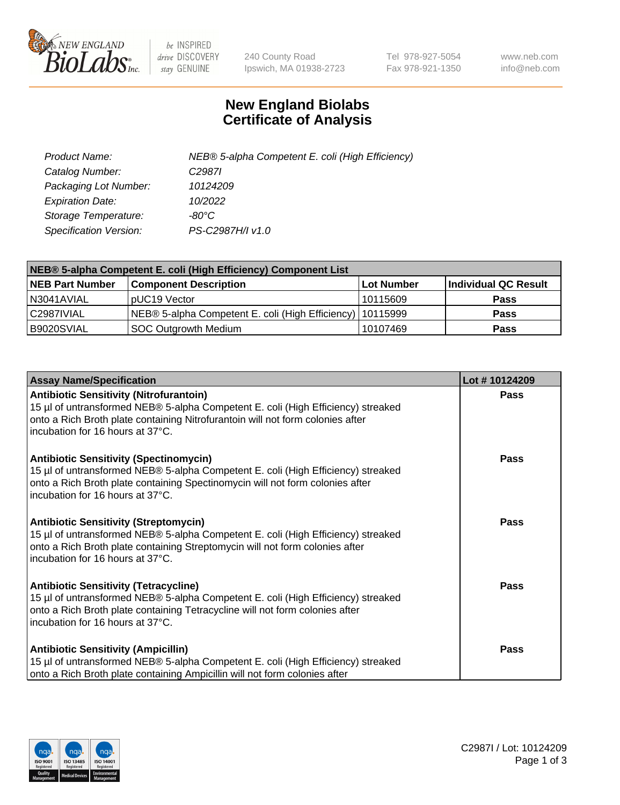

 $be$  INSPIRED drive DISCOVERY stay GENUINE

240 County Road Ipswich, MA 01938-2723 Tel 978-927-5054 Fax 978-921-1350 www.neb.com info@neb.com

## **New England Biolabs Certificate of Analysis**

| Product Name:           | NEB® 5-alpha Competent E. coli (High Efficiency) |
|-------------------------|--------------------------------------------------|
| Catalog Number:         | C <sub>2987</sub>                                |
| Packaging Lot Number:   | 10124209                                         |
| <b>Expiration Date:</b> | 10/2022                                          |
| Storage Temperature:    | -80°C                                            |
| Specification Version:  | PS-C2987H/I v1.0                                 |

| NEB® 5-alpha Competent E. coli (High Efficiency) Component List |                                                             |            |                      |  |
|-----------------------------------------------------------------|-------------------------------------------------------------|------------|----------------------|--|
| <b>NEB Part Number</b>                                          | <b>Component Description</b>                                | Lot Number | Individual QC Result |  |
| N3041AVIAL                                                      | pUC19 Vector                                                | 10115609   | <b>Pass</b>          |  |
| C2987IVIAL                                                      | NEB® 5-alpha Competent E. coli (High Efficiency)   10115999 |            | <b>Pass</b>          |  |
| B9020SVIAL                                                      | SOC Outgrowth Medium                                        | 10107469   | <b>Pass</b>          |  |

| <b>Assay Name/Specification</b>                                                                                                                                                                                                                          | Lot #10124209 |
|----------------------------------------------------------------------------------------------------------------------------------------------------------------------------------------------------------------------------------------------------------|---------------|
| <b>Antibiotic Sensitivity (Nitrofurantoin)</b><br>15 µl of untransformed NEB® 5-alpha Competent E. coli (High Efficiency) streaked<br>onto a Rich Broth plate containing Nitrofurantoin will not form colonies after<br>incubation for 16 hours at 37°C. | Pass          |
| <b>Antibiotic Sensitivity (Spectinomycin)</b><br>15 µl of untransformed NEB® 5-alpha Competent E. coli (High Efficiency) streaked<br>onto a Rich Broth plate containing Spectinomycin will not form colonies after<br>incubation for 16 hours at 37°C.   | Pass          |
| Antibiotic Sensitivity (Streptomycin)<br>15 µl of untransformed NEB® 5-alpha Competent E. coli (High Efficiency) streaked<br>onto a Rich Broth plate containing Streptomycin will not form colonies after<br>incubation for 16 hours at 37°C.            | Pass          |
| <b>Antibiotic Sensitivity (Tetracycline)</b><br>15 µl of untransformed NEB® 5-alpha Competent E. coli (High Efficiency) streaked<br>onto a Rich Broth plate containing Tetracycline will not form colonies after<br>incubation for 16 hours at 37°C.     | Pass          |
| <b>Antibiotic Sensitivity (Ampicillin)</b><br>15 µl of untransformed NEB® 5-alpha Competent E. coli (High Efficiency) streaked<br>onto a Rich Broth plate containing Ampicillin will not form colonies after                                             | Pass          |

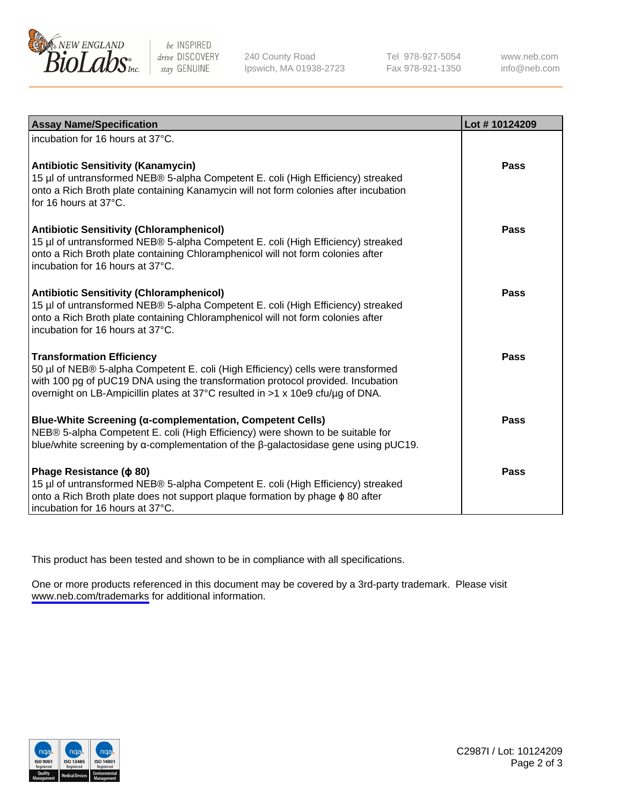

be INSPIRED drive DISCOVERY stay GENUINE

240 County Road Ipswich, MA 01938-2723 Tel 978-927-5054 Fax 978-921-1350

www.neb.com info@neb.com

| <b>Assay Name/Specification</b>                                                                                                                                                                                                                                                           | Lot #10124209 |
|-------------------------------------------------------------------------------------------------------------------------------------------------------------------------------------------------------------------------------------------------------------------------------------------|---------------|
| incubation for 16 hours at 37°C.                                                                                                                                                                                                                                                          |               |
| <b>Antibiotic Sensitivity (Kanamycin)</b><br>15 µl of untransformed NEB® 5-alpha Competent E. coli (High Efficiency) streaked<br>onto a Rich Broth plate containing Kanamycin will not form colonies after incubation<br>for 16 hours at 37°C.                                            | <b>Pass</b>   |
| <b>Antibiotic Sensitivity (Chloramphenicol)</b><br>15 µl of untransformed NEB® 5-alpha Competent E. coli (High Efficiency) streaked<br>onto a Rich Broth plate containing Chloramphenicol will not form colonies after<br>incubation for 16 hours at 37°C.                                | Pass          |
| <b>Antibiotic Sensitivity (Chloramphenicol)</b><br>15 µl of untransformed NEB® 5-alpha Competent E. coli (High Efficiency) streaked<br>onto a Rich Broth plate containing Chloramphenicol will not form colonies after<br>incubation for 16 hours at 37°C.                                | Pass          |
| <b>Transformation Efficiency</b><br>50 µl of NEB® 5-alpha Competent E. coli (High Efficiency) cells were transformed<br>with 100 pg of pUC19 DNA using the transformation protocol provided. Incubation<br>overnight on LB-Ampicillin plates at 37°C resulted in >1 x 10e9 cfu/µg of DNA. | Pass          |
| <b>Blue-White Screening (α-complementation, Competent Cells)</b><br>NEB® 5-alpha Competent E. coli (High Efficiency) were shown to be suitable for<br>blue/white screening by $\alpha$ -complementation of the $\beta$ -galactosidase gene using pUC19.                                   | <b>Pass</b>   |
| Phage Resistance ( $\phi$ 80)<br>15 µl of untransformed NEB® 5-alpha Competent E. coli (High Efficiency) streaked<br>onto a Rich Broth plate does not support plaque formation by phage $\phi$ 80 after<br>incubation for 16 hours at 37°C.                                               | <b>Pass</b>   |

This product has been tested and shown to be in compliance with all specifications.

One or more products referenced in this document may be covered by a 3rd-party trademark. Please visit <www.neb.com/trademarks>for additional information.